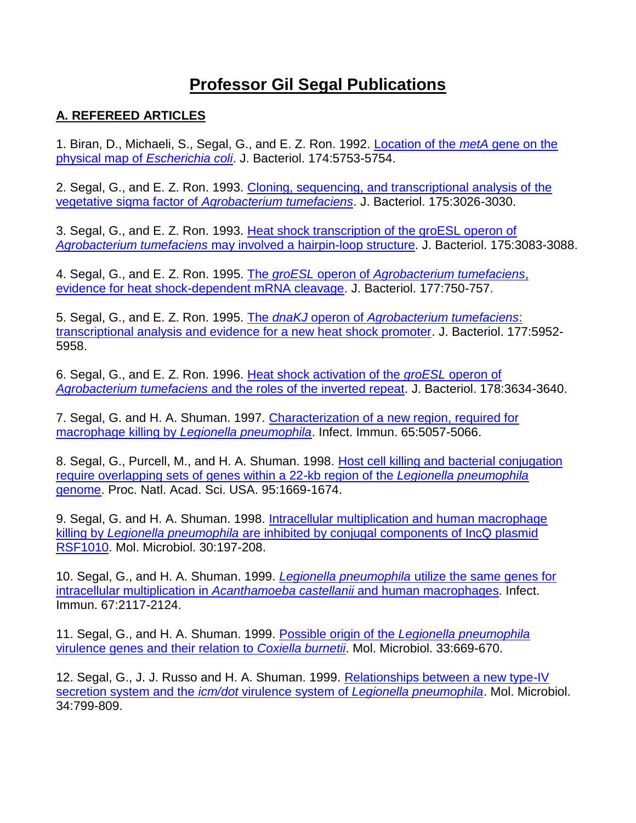## **Professor Gil Segal Publications**

## **A. REFEREED ARTICLES**

1. Biran, D., Michaeli, S., Segal, G., and E. Z. Ron. 1992. [Location of the](http://www.ncbi.nlm.nih.gov/pubmed/1512210) *metA* gene on the [physical map of](http://www.ncbi.nlm.nih.gov/pubmed/1512210) *Escherichia coli*. J. Bacteriol. 174:5753-5754.

2. Segal, G., and E. Z. Ron. 1993. [Cloning, sequencing, and transcriptional analysis of the](http://www.ncbi.nlm.nih.gov/pubmed/8491721) vegetative sigma factor of *[Agrobacterium tumefaciens](http://www.ncbi.nlm.nih.gov/pubmed/8491721)*. J. Bacteriol. 175:3026-3030.

3. Segal, G., and E. Z. Ron. 1993. [Heat shock transcription of the groESL operon of](http://www.ncbi.nlm.nih.gov/pubmed/8098329) *Agrobacterium tumefaciens* [may involved a hairpin-loop structure.](http://www.ncbi.nlm.nih.gov/pubmed/8098329) J. Bacteriol. 175:3083-3088.

4. Segal, G., and E. Z. Ron. 1995. The *groESL* operon of *[Agrobacterium tumefaciens](http://www.ncbi.nlm.nih.gov/pubmed/7530710)*, [evidence for heat shock-dependent mRNA cleavage.](http://www.ncbi.nlm.nih.gov/pubmed/7530710) J. Bacteriol. 177:750-757.

5. Segal, G., and E. Z. Ron. 1995. The *dnaKJ* operon of *[Agrobacterium tumefaciens](http://www.ncbi.nlm.nih.gov/pubmed/7592349)*: [transcriptional analysis and evidence for a new heat shock promoter.](http://www.ncbi.nlm.nih.gov/pubmed/7592349) J. Bacteriol. 177:5952- 5958.

6. Segal, G., and E. Z. Ron. 1996. [Heat shock activation of the](http://www.ncbi.nlm.nih.gov/pubmed/8655565) *groESL* operon of *Agrobacterium tumefaciens* [and the roles of the inverted repeat.](http://www.ncbi.nlm.nih.gov/pubmed/8655565) J. Bacteriol. 178:3634-3640.

7. Segal, G. and H. A. Shuman. 1997. [Characterization of a new region, required for](http://www.ncbi.nlm.nih.gov/pubmed/9393796) macrophage killing by *[Legionella pneumophila](http://www.ncbi.nlm.nih.gov/pubmed/9393796)*. Infect. Immun. 65:5057-5066.

8. Segal, G., Purcell, M., and H. A. Shuman. 1998. [Host cell killing and bacterial conjugation](http://www.ncbi.nlm.nih.gov/pubmed/9465074) [require overlapping sets of genes within a 22-kb region of the](http://www.ncbi.nlm.nih.gov/pubmed/9465074) *Legionella pneumophila* [genome.](http://www.ncbi.nlm.nih.gov/pubmed/9465074) Proc. Natl. Acad. Sci. USA. 95:1669-1674.

9. Segal, G. and H. A. Shuman. 1998. [Intracellular multiplication and human macrophage](http://www.ncbi.nlm.nih.gov/pubmed/9786196) killing by *Legionella pneumophila* [are inhibited by conjugal components of IncQ plasmid](http://www.ncbi.nlm.nih.gov/pubmed/9786196)  [RSF1010.](http://www.ncbi.nlm.nih.gov/pubmed/9786196) Mol. Microbiol. 30:197-208.

10. Segal, G., and H. A. Shuman. 1999. *Legionella pneumophila* [utilize the same genes for](http://www.ncbi.nlm.nih.gov/pubmed/10225863) [intracellular multiplication in](http://www.ncbi.nlm.nih.gov/pubmed/10225863) *Acanthamoeba castellanii* and human macrophages. Infect. Immun. 67:2117-2124.

11. Segal, G., and H. A. Shuman. 1999. Possible origin of the *[Legionella pneumophila](http://www.ncbi.nlm.nih.gov/pubmed/10417657)* [virulence genes and their relation to](http://www.ncbi.nlm.nih.gov/pubmed/10417657) *Coxiella burnetii*. Mol. Microbiol. 33:669-670.

12. Segal, G., J. J. Russo and H. A. Shuman. 1999. [Relationships between a new type-IV](http://www.ncbi.nlm.nih.gov/pubmed/10564519) [secretion system and the](http://www.ncbi.nlm.nih.gov/pubmed/10564519) *icm/dot* virulence system of *Legionella pneumophila*. Mol. Microbiol. 34:799-809.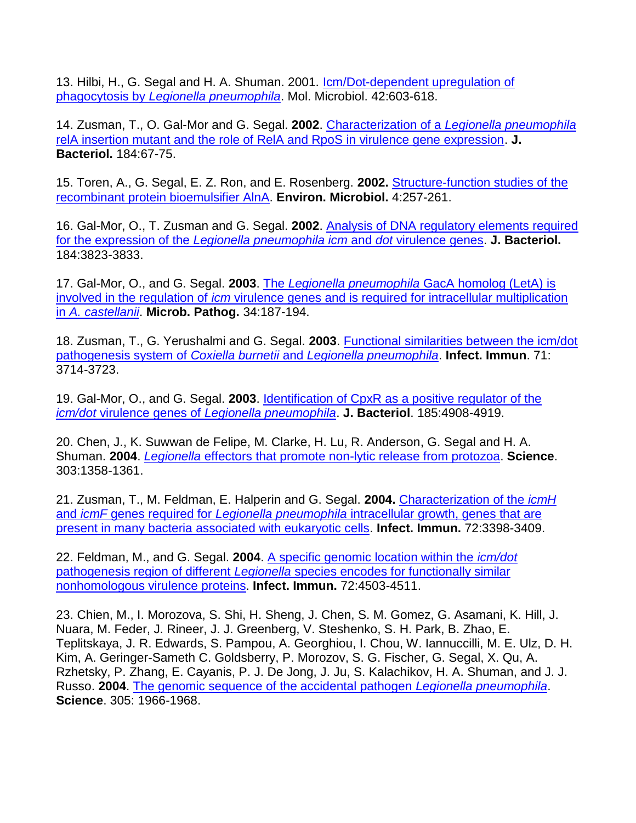13. Hilbi, H., G. Segal and H. A. Shuman. 2001. [Icm/Dot-dependent upregulation of](http://www.ncbi.nlm.nih.gov/pubmed/11722729) phagocytosis by *[Legionella pneumophila](http://www.ncbi.nlm.nih.gov/pubmed/11722729)*. Mol. Microbiol. 42:603-618.

14. Zusman, T., O. Gal-Mor and G. Segal. **2002**. Characterization of a *[Legionella pneumophila](http://www.ncbi.nlm.nih.gov/pubmed/11741845)* [relA insertion mutant and the role of RelA and RpoS in virulence gene expression.](http://www.ncbi.nlm.nih.gov/pubmed/11741845) **J. Bacteriol.** 184:67-75.

15. Toren, A., G. Segal, E. Z. Ron, and E. Rosenberg. **2002.** [Structure-function studies of the](http://www.ncbi.nlm.nih.gov/pubmed/12030851) [recombinant protein bioemulsifier AlnA.](http://www.ncbi.nlm.nih.gov/pubmed/12030851) **Environ. Microbiol.** 4:257-261.

16. Gal-Mor, O., T. Zusman and G. Segal. **2002**. [Analysis of DNA regulatory elements required](http://www.ncbi.nlm.nih.gov/pubmed/12081952) for the expression of the *[Legionella pneumophila icm](http://www.ncbi.nlm.nih.gov/pubmed/12081952)* and *dot* virulence genes. **J. Bacteriol.** 184:3823-3833.

17. Gal-Mor, O., and G. Segal. **2003**. The *Legionella pneumophila* [GacA homolog \(LetA\) is](http://www.ncbi.nlm.nih.gov/pubmed/12668142) involved in the regulation of *icm* [virulence genes and is required for intracellular multiplication](http://www.ncbi.nlm.nih.gov/pubmed/12668142)  in *[A. castellanii](http://www.ncbi.nlm.nih.gov/pubmed/12668142)*. **Microb. Pathog.** 34:187-194.

18. Zusman, T., G. Yerushalmi and G. Segal. **2003**. [Functional similarities between the icm/dot](http://www.ncbi.nlm.nih.gov/pubmed/12819052) [pathogenesis system of](http://www.ncbi.nlm.nih.gov/pubmed/12819052) *Coxiella burnetii* and *Legionella pneumophila*. **Infect. Immun**. 71: 3714-3723.

19. Gal-Mor, O., and G. Segal. **2003**. [Identification of CpxR as a positive regulator of the](http://www.ncbi.nlm.nih.gov/pubmed/12897011) *icm/dot* virulence genes of *[Legionella pneumophila](http://www.ncbi.nlm.nih.gov/pubmed/12897011)*. **J. Bacteriol**. 185:4908-4919.

20. Chen, J., K. Suwwan de Felipe, M. Clarke, H. Lu, R. Anderson, G. Segal and H. A. Shuman. **2004**. *Legionella* [effectors that promote non-lytic release from protozoa.](http://www.ncbi.nlm.nih.gov/pubmed/14988561) **Science**. 303:1358-1361.

21. Zusman, T., M. Feldman, E. Halperin and G. Segal. **2004.** [Characterization of the](http://www.ncbi.nlm.nih.gov/pubmed/15155646) *icmH* and *icmF* genes required for *Legionella pneumophila* [intracellular growth, genes that are](http://www.ncbi.nlm.nih.gov/pubmed/15155646)  [present in many bacteria associated with eukaryotic cells.](http://www.ncbi.nlm.nih.gov/pubmed/15155646) **Infect. Immun.** 72:3398-3409.

22. Feldman, M., and G. Segal. **2004**. [A specific genomic location within the](http://www.ncbi.nlm.nih.gov/pubmed/15271909) *icm/dot* pathogenesis region of different *Legionella* [species encodes for functionally similar](http://www.ncbi.nlm.nih.gov/pubmed/15271909)  [nonhomologous virulence proteins.](http://www.ncbi.nlm.nih.gov/pubmed/15271909) **Infect. Immun.** 72:4503-4511.

23. Chien, M., I. Morozova, S. Shi, H. Sheng, J. Chen, S. M. Gomez, G. Asamani, K. Hill, J. Nuara, M. Feder, J. Rineer, J. J. Greenberg, V. Steshenko, S. H. Park, B. Zhao, E. Teplitskaya, J. R. Edwards, S. Pampou, A. Georghiou, I. Chou, W. Iannuccilli, M. E. Ulz, D. H. Kim, A. Geringer-Sameth C. Goldsberry, P. Morozov, S. G. Fischer, G. Segal, X. Qu, A. Rzhetsky, P. Zhang, E. Cayanis, P. J. De Jong, J. Ju, S. Kalachikov, H. A. Shuman, and J. J. Russo. **2004**. [The genomic sequence of the accidental pathogen](http://www.ncbi.nlm.nih.gov/pubmed/15448271) *Legionella pneumophila*. **Science**. 305: 1966-1968.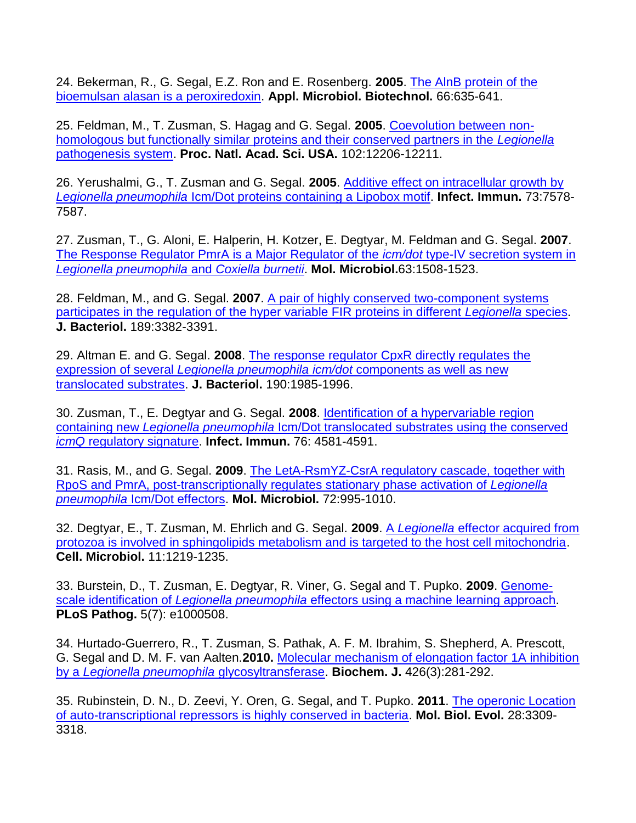24. Bekerman, R., G. Segal, E.Z. Ron and E. Rosenberg. **2005**. [The AlnB protein of the](http://www.ncbi.nlm.nih.gov/pubmed/15630518) [bioemulsan alasan is a peroxiredoxin.](http://www.ncbi.nlm.nih.gov/pubmed/15630518) **Appl. Microbiol. Biotechnol.** 66:635-641.

25. Feldman, M., T. Zusman, S. Hagag and G. Segal. **2005**. [Coevolution between non](http://www.ncbi.nlm.nih.gov/pubmed/16091472)[homologous but functionally similar proteins and their conserved partners in the](http://www.ncbi.nlm.nih.gov/pubmed/16091472) *Legionella* [pathogenesis system.](http://www.ncbi.nlm.nih.gov/pubmed/16091472) **Proc. Natl. Acad. Sci. USA.** 102:12206-12211.

26. Yerushalmi, G., T. Zusman and G. Segal. **2005**. [Additive effect on intracellular growth by](http://www.ncbi.nlm.nih.gov/pubmed/16239561) *Legionella pneumophila* [Icm/Dot proteins containing a Lipobox motif.](http://www.ncbi.nlm.nih.gov/pubmed/16239561) **Infect. Immun.** 73:7578- 7587.

27. Zusman, T., G. Aloni, E. Halperin, H. Kotzer, E. Degtyar, M. Feldman and G. Segal. **2007**. [The Response Regulator PmrA is a Major Regulator of the](http://www.ncbi.nlm.nih.gov/pubmed/17302824) *icm/dot* type-IV secretion system in *[Legionella pneumophila](http://www.ncbi.nlm.nih.gov/pubmed/17302824)* and *Coxiella burnetii*. **Mol. Microbiol.**63:1508-1523.

28. Feldman, M., and G. Segal. **2007**. [A pair of highly conserved two-component systems](http://www.ncbi.nlm.nih.gov/pubmed/17337587) [participates in the regulation of the hyper variable FIR proteins in different](http://www.ncbi.nlm.nih.gov/pubmed/17337587) *Legionella* species. **J. Bacteriol.** 189:3382-3391.

29. Altman E. and G. Segal. **2008**. [The response regulator CpxR directly regulates the](http://www.ncbi.nlm.nih.gov/pubmed/18192394) expression of several *Legionella pneumophila icm/dot* [components as well as new](http://www.ncbi.nlm.nih.gov/pubmed/18192394)  [translocated substrates.](http://www.ncbi.nlm.nih.gov/pubmed/18192394) **J. Bacteriol.** 190:1985-1996.

30. Zusman, T., E. Degtyar and G. Segal. **2008**. [Identification of a hypervariable region](http://www.ncbi.nlm.nih.gov/pubmed/18694969) containing new *Legionella pneumophila* [Icm/Dot translocated substrates using the conserved](http://www.ncbi.nlm.nih.gov/pubmed/18694969)  *icmQ* [regulatory signature.](http://www.ncbi.nlm.nih.gov/pubmed/18694969) **Infect. Immun.** 76: 4581-4591.

31. Rasis, M., and G. Segal. **2009**. [The LetA-RsmYZ-CsrA regulatory cascade, together with](http://www.ncbi.nlm.nih.gov/pubmed/19400807) [RpoS and PmrA, post-transcriptionally regulates stationary phase activation of](http://www.ncbi.nlm.nih.gov/pubmed/19400807) *Legionella pneumophila* [Icm/Dot effectors.](http://www.ncbi.nlm.nih.gov/pubmed/19400807) **Mol. Microbiol.** 72:995-1010.

32. Degtyar, E., T. Zusman, M. Ehrlich and G. Segal. **2009**. A *Legionella* [effector acquired from](http://www.ncbi.nlm.nih.gov/pubmed/19438520) [protozoa is involved in sphingolipids metabolism and is targeted to the host cell mitochondria.](http://www.ncbi.nlm.nih.gov/pubmed/19438520) **Cell. Microbiol.** 11:1219-1235.

33. Burstein, D., T. Zusman, E. Degtyar, R. Viner, G. Segal and T. Pupko. **2009**. [Genome](http://www.ncbi.nlm.nih.gov/pubmed/19593377)scale identification of *Legionella pneumophila* [effectors using a machine learning approach.](http://www.ncbi.nlm.nih.gov/pubmed/19593377) **PLoS Pathog.** 5(7): e1000508.

34. Hurtado-Guerrero, R., T. Zusman, S. Pathak, A. F. M. Ibrahim, S. Shepherd, A. Prescott, G. Segal and D. M. F. van Aalten.**2010.** [Molecular mechanism of elongation factor 1A inhibition](http://www.ncbi.nlm.nih.gov/pubmed/20030628)  by a *[Legionella pneumophila](http://www.ncbi.nlm.nih.gov/pubmed/20030628)* glycosyltransferase. **Biochem. J.** 426(3):281-292.

35. Rubinstein, D. N., D. Zeevi, Y. Oren, G. Segal, and T. Pupko. **2011**. [The operonic Location](http://www.ncbi.nlm.nih.gov/pubmed/21690561) [of auto-transcriptional repressors is highly conserved in bacteria.](http://www.ncbi.nlm.nih.gov/pubmed/21690561) **Mol. Biol. Evol.** 28:3309- 3318.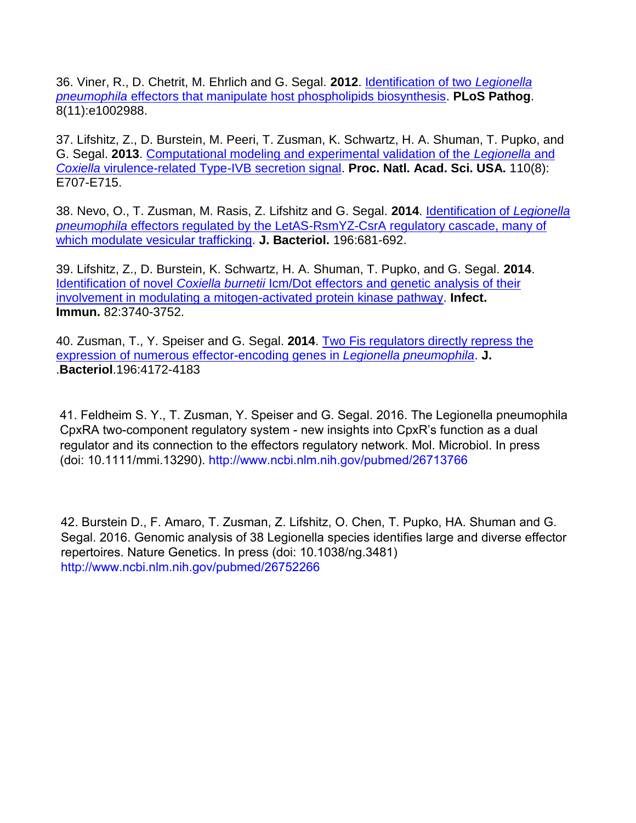36. Viner, R., D. Chetrit, M. Ehrlich and G. Segal. **2012**. [Identification of two](http://www.ncbi.nlm.nih.gov/pubmed/23133385) *Legionella pneumophila* [effectors that manipulate host phospholipids biosynthesis.](http://www.ncbi.nlm.nih.gov/pubmed/23133385) **PLoS Pathog**. 8(11):e1002988.

37. Lifshitz, Z., D. Burstein, M. Peeri, T. Zusman, K. Schwartz, H. A. Shuman, T. Pupko, and G. Segal. **2013**. [Computational modeling and experimental validation of the](http://www.ncbi.nlm.nih.gov/pubmed/23382224) *Legionella* and *Coxiella* [virulence-related Type-IVB secretion signal.](http://www.ncbi.nlm.nih.gov/pubmed/23382224) **Proc. Natl. Acad. Sci. USA.** 110(8): E707-E715.

38. Nevo, O., T. Zusman, M. Rasis, Z. Lifshitz and G. Segal. **2014**. [Identification of](http://www.ncbi.nlm.nih.gov/pubmed/24272784) *Legionella pneumophila* [effectors regulated by the LetAS-RsmYZ-CsrA regulatory cascade, many of](http://www.ncbi.nlm.nih.gov/pubmed/24272784)  [which modulate vesicular trafficking.](http://www.ncbi.nlm.nih.gov/pubmed/24272784) **J. Bacteriol.** 196:681-692.

39. Lifshitz, Z., D. Burstein, K. Schwartz, H. A. Shuman, T. Pupko, and G. Segal. **2014**. Identification of novel *Coxiella burnetii* [Icm/Dot effectors and genetic analysis of their](http://www.ncbi.nlm.nih.gov/pubmed/24958706)  [involvement in modulating a mitogen-activated protein kinase pathway.](http://www.ncbi.nlm.nih.gov/pubmed/24958706) **Infect. Immun.** 82:3740-3752.

40. Zusman, T., Y. Speiser and G. Segal. **2014**. [Two Fis regulators directly repress the](http://www.ncbi.nlm.nih.gov/pubmed/25225276) [expression of numerous effector-encoding genes in](http://www.ncbi.nlm.nih.gov/pubmed/25225276) *Legionella pneumophila*. **J.**  .**Bacteriol**.196:4172-4183

41. Feldheim S. Y., T. Zusman, Y. Speiser and G. Segal. 2016. The Legionella pneumophila CpxRA two-component regulatory system - new insights into CpxR's function as a dual regulator and its connection to the effectors regulatory network. Mol. Microbiol. In press (doi: 10.1111/mmi.13290). http://www.ncbi.nlm.nih.gov/pubmed/26713766

42. Burstein D., F. Amaro, T. Zusman, Z. Lifshitz, O. Chen, T. Pupko, HA. Shuman and G. Segal. 2016. Genomic analysis of 38 Legionella species identifies large and diverse effector repertoires. Nature Genetics. In press (doi: 10.1038/ng.3481) http://www.ncbi.nlm.nih.gov/pubmed/26752266